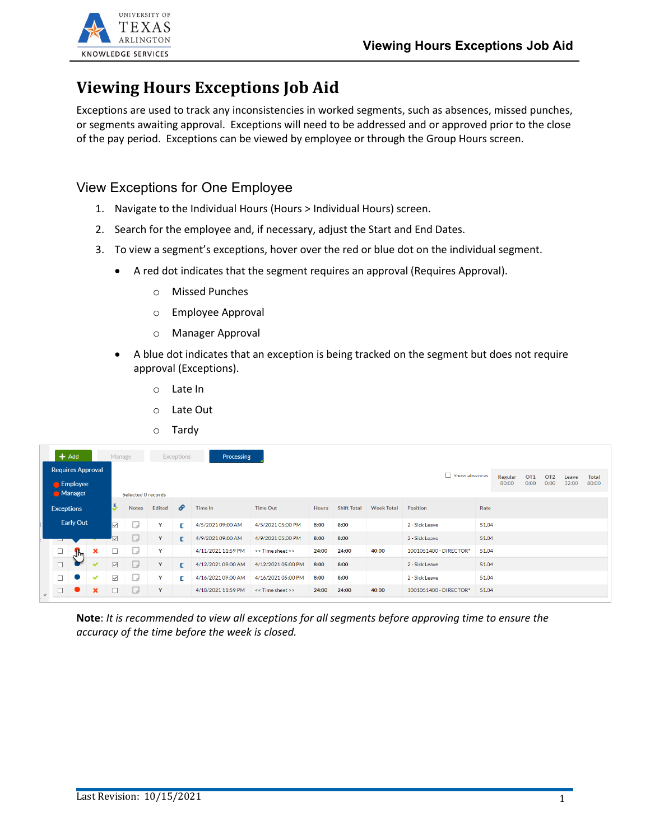

## **Viewing Hours Exceptions Job Aid**

Exceptions are used to track any inconsistencies in worked segments, such as absences, missed punches, or segments awaiting approval. Exceptions will need to be addressed and or approved prior to the close of the pay period. Exceptions can be viewed by employee or through the Group Hours screen.

View Exceptions for One Employee

- 1. Navigate to the Individual Hours (Hours > Individual Hours) screen.
- 2. Search for the employee and, if necessary, adjust the Start and End Dates.
- 3. To view a segment's exceptions, hover over the red or blue dot on the individual segment.
	- A red dot indicates that the segment requires an approval (Requires Approval).
		- o Missed Punches
		- o Employee Approval
		- o Manager Approval
	- A blue dot indicates that an exception is being tracked on the segment but does not require approval (Exceptions).
		- o Late In
		- o Late Out
		- o Tardy

| $+$ Add<br>Processing<br><b>Exceptions</b><br>Manage          |        |                           |                                                                                                                                                   |                     |          |                   |                   |                    |                    |                   |                 |                |                        |       |  |  |  |  |
|---------------------------------------------------------------|--------|---------------------------|---------------------------------------------------------------------------------------------------------------------------------------------------|---------------------|----------|-------------------|-------------------|--------------------|--------------------|-------------------|-----------------|----------------|------------------------|-------|--|--|--|--|
| <b>Requires Approval</b><br><b>Employee</b><br><b>Manager</b> |        |                           | Show absences<br>OT <sub>1</sub><br>Regular<br>OT <sub>2</sub><br>Total<br>Leave<br>32:00<br>0:00<br>80:00<br>0:00<br>80:00<br>Selected 0 records |                     |          |                   |                   |                    |                    |                   |                 |                |                        |       |  |  |  |  |
| <b>Exceptions</b>                                             |        | J                         | <b>Notes</b>                                                                                                                                      | <b>Edited</b>       | <b>P</b> | Time In           | <b>Time Out</b>   | <b>Hours</b>       | <b>Shift Total</b> | <b>Week Total</b> | <b>Position</b> | Rate           |                        |       |  |  |  |  |
| <b>Early Out</b>                                              |        | $\overline{\vee}$         | o                                                                                                                                                 | Y                   | D        | 4/5/2021 09:00 AM | 4/5/2021 05:00 PM | 8:00               | 8:00               |                   | 2 - Sick Leave  | 51.04          |                        |       |  |  |  |  |
| $\overline{\phantom{0}}$                                      |        |                           |                                                                                                                                                   | L                   | Y        | г                 | 4/9/2021 09:00 AM | 4/9/2021 05:00 PM  | 8:00               | 8:00              |                 | 2 - Sick Leave | 51.04                  |       |  |  |  |  |
|                                                               | $\Box$ | $\mathbf{J}^{\mathbf{h}}$ | ×                                                                                                                                                 |                     | U        | Y                 |                   | 4/11/2021 11:59 PM | << Time sheet >>   | 24:00             | 24:00           | 40:00          | 1001051400 - DIRECTOR* | 51.04 |  |  |  |  |
|                                                               | П      |                           | $\checkmark$                                                                                                                                      | $\overline{\smile}$ | u        | Y                 | г                 | 4/12/2021 09:00 AM | 4/12/2021 05:00 PM | 8:00              | 8:00            |                | 2 - Sick Leave         | 51.04 |  |  |  |  |
|                                                               | $\Box$ |                           | $\checkmark$                                                                                                                                      | $\overline{\smile}$ | D        | Y                 | <b>C</b>          | 4/16/2021 09:00 AM | 4/16/2021 05:00 PM | 8:00              | 8:00            |                | 2 - Sick Leave         | 51.04 |  |  |  |  |
| $\checkmark$                                                  | $\Box$ |                           | $\mathbf x$                                                                                                                                       |                     | U        | $\mathbf{Y}$      |                   | 4/18/2021 11:59 PM | << Time sheet >>   | 24:00             | 24:00           | 40:00          | 1001051400 - DIRECTOR* | 51.04 |  |  |  |  |

**Note**: *It is recommended to view all exceptions for all segments before approving time to ensure the accuracy of the time before the week is closed.*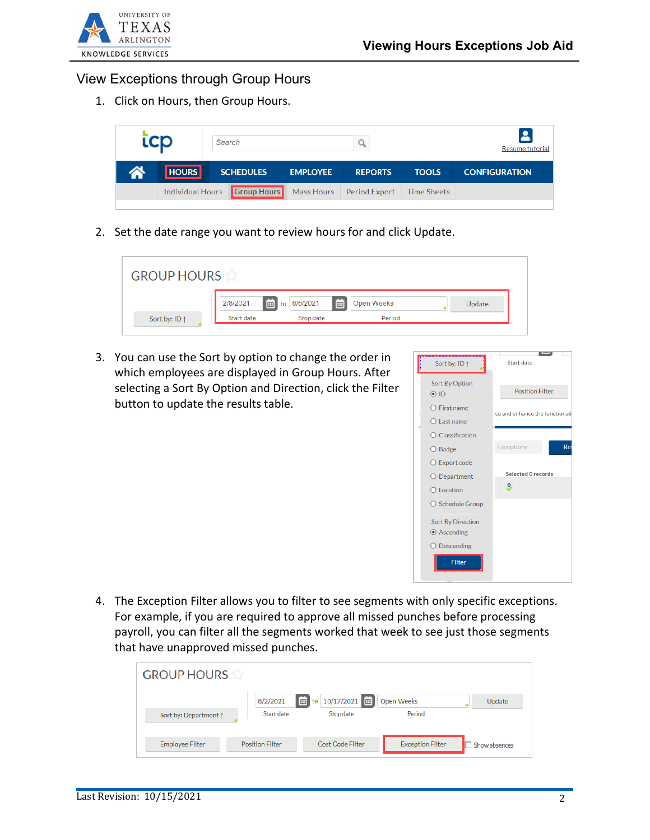

## View Exceptions through Group Hours

1. Click on Hours, then Group Hours.



2. Set the date range you want to review hours for and click Update.

| <b>GROUP HOURS</b>     |            |                  |                   |  |        |  |  |  |  |  |  |
|------------------------|------------|------------------|-------------------|--|--------|--|--|--|--|--|--|
|                        | 2/8/2021   | to 6/6/2021<br>曲 | <b>Open Weeks</b> |  | Update |  |  |  |  |  |  |
| Sort by: ID $\uparrow$ | Start date | Stop date        | Period            |  |        |  |  |  |  |  |  |

3. You can use the Sort by option to change the order in which employees are displayed in Group Hours. After selecting a Sort By Option and Direction, click the Filter button to update the results table.



4. The Exception Filter allows you to filter to see segments with only specific exceptions. For example, if you are required to approve all missed punches before processing payroll, you can filter all the segments worked that week to see just those segments that have unapproved missed punches.

| <b>GROUP HOURS</b>     |                        |                                                    |                         |               |
|------------------------|------------------------|----------------------------------------------------|-------------------------|---------------|
| Sort by: Department 1  | 8/2/2021<br>Start date | $\boxed{6}$ to 10/17/2021 $\boxed{6}$<br>Stop date | Open Weeks<br>Period    | Update        |
| <b>Employee Filter</b> | <b>Position Filter</b> | <b>Cost Code Filter</b>                            | <b>Exception Filter</b> | Show absences |